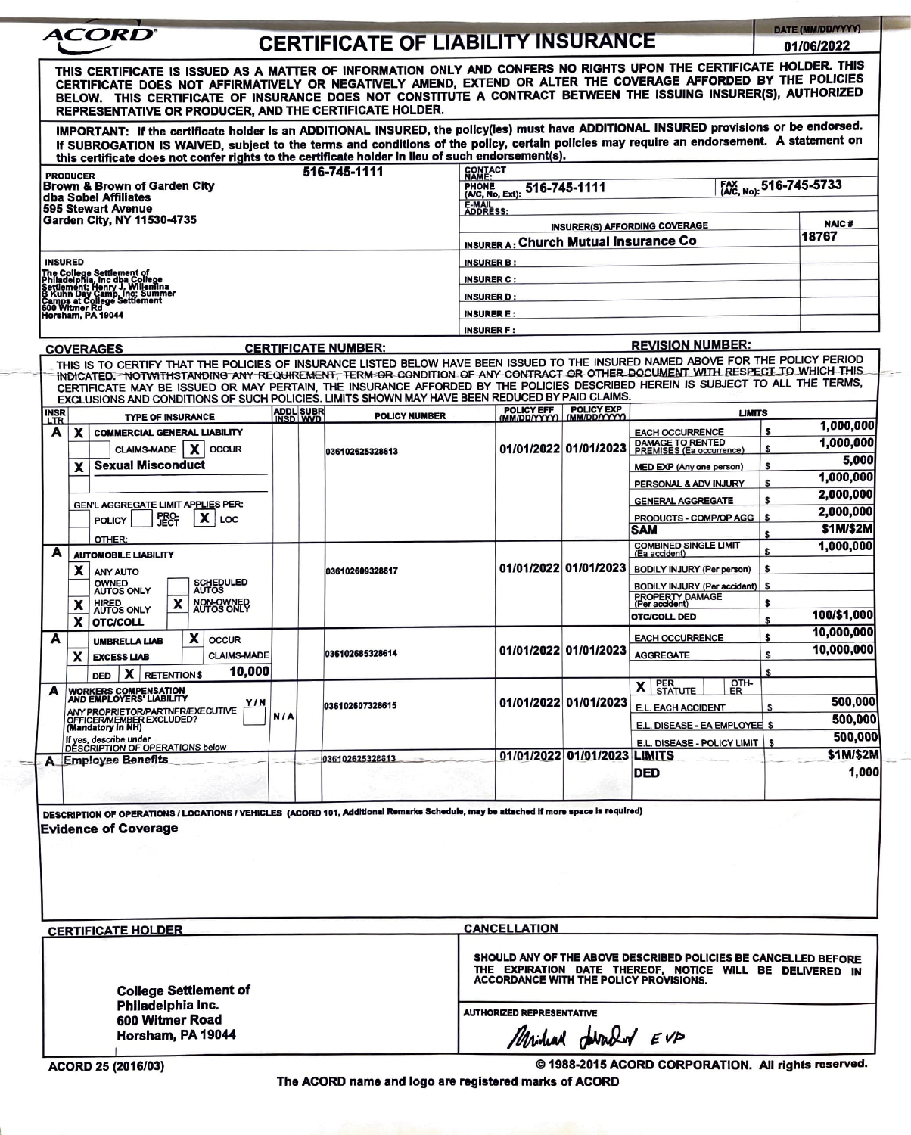| <b>PRODUCER</b><br><b>INSURED</b><br><b>INSR</b><br>LTR<br>A         | THIS CERTIFICATE IS ISSUED AS A MATTER OF INFORMATION ONLY AND CONFERS NO RIGHTS UPON THE CERTIFICATE HOLDER. THIS<br>CERTIFICATE DOES NOT AFFIRMATIVELY OR NEGATIVELY AMEND, EXTEND OR ALTER THE COVERAGE AFFORDED BY THE POLICIES<br>BELOW. THIS CERTIFICATE OF INSURANCE DOES NOT CONSTITUTE A CONTRACT BETWEEN THE ISSUING INSURER(S), AUTHORIZED<br>REPRESENTATIVE OR PRODUCER, AND THE CERTIFICATE HOLDER.<br>IMPORTANT: If the certificate holder is an ADDITIONAL INSURED, the policy(les) must have ADDITIONAL INSURED provisions or be endorsed.<br>If SUBROGATION IS WAIVED, subject to the terms and conditions of the policy, certain policies may require an endorsement. A statement on<br>this certificate does not confer rights to the certificate holder in lieu of such endorsement(s).<br>Brown & Brown of Garden City<br>dba Sobel Affiliates<br><b>595 Stewart Avenue</b><br>Garden City. NY 11530-4735<br>The College Settlement of<br>Philadelphia, inc dha College<br>Settlement, Henry J. Willemina<br>B. Kuhn Day Camp, Inc.; Summer<br>Camps at College Settlement<br>600 Witmer Rd<br>Horsham, PA 19044<br><b>COVERAGES</b><br>THIS IS TO CERTIFY THAT THE POLICIES OF INSURANCE LISTED BELOW HAVE BEEN ISSUED TO THE INSURED NAMED ABOVE FOR THE POLICY PERIOD<br>INDICATED. NOTWITHSTANDING ANY REQUIREMENT, TERM OR CONDITION OF ANY CONTRACT OR OTHER DOCUMENT WITH RESPECT TO WHICH THIS<br>CERTIFICATE MAY BE ISSUED OR MAY PERTAIN, THE INSURANCE AFFORDED BY THE POLICIES DESCRIBED HEREIN IS SUBJECT TO ALL THE TERMS,<br>EXCLUSIONS AND CONDITIONS OF SUCH POLICIES. LIMITS SHOWN MAY HAVE BEEN REDUCED BY PAID CLAIMS. |                       |  | <b>CERTIFICATE OF LIABILITY INSURANCE</b><br>516-745-1111 | CONTACT<br>NAME:<br><b>EMAL</b><br>ADDRESS:                                                                                                                                 |                       |                                                                          |                                                            | 01/06/2022   |  |  |  |
|----------------------------------------------------------------------|-----------------------------------------------------------------------------------------------------------------------------------------------------------------------------------------------------------------------------------------------------------------------------------------------------------------------------------------------------------------------------------------------------------------------------------------------------------------------------------------------------------------------------------------------------------------------------------------------------------------------------------------------------------------------------------------------------------------------------------------------------------------------------------------------------------------------------------------------------------------------------------------------------------------------------------------------------------------------------------------------------------------------------------------------------------------------------------------------------------------------------------------------------------------------------------------------------------------------------------------------------------------------------------------------------------------------------------------------------------------------------------------------------------------------------------------------------------------------------------------------------------------------------------------------------------------------------------------------------------------------------------------------------------------|-----------------------|--|-----------------------------------------------------------|-----------------------------------------------------------------------------------------------------------------------------------------------------------------------------|-----------------------|--------------------------------------------------------------------------|------------------------------------------------------------|--------------|--|--|--|
|                                                                      |                                                                                                                                                                                                                                                                                                                                                                                                                                                                                                                                                                                                                                                                                                                                                                                                                                                                                                                                                                                                                                                                                                                                                                                                                                                                                                                                                                                                                                                                                                                                                                                                                                                                 |                       |  |                                                           |                                                                                                                                                                             |                       |                                                                          |                                                            |              |  |  |  |
|                                                                      |                                                                                                                                                                                                                                                                                                                                                                                                                                                                                                                                                                                                                                                                                                                                                                                                                                                                                                                                                                                                                                                                                                                                                                                                                                                                                                                                                                                                                                                                                                                                                                                                                                                                 |                       |  |                                                           |                                                                                                                                                                             |                       |                                                                          |                                                            |              |  |  |  |
|                                                                      |                                                                                                                                                                                                                                                                                                                                                                                                                                                                                                                                                                                                                                                                                                                                                                                                                                                                                                                                                                                                                                                                                                                                                                                                                                                                                                                                                                                                                                                                                                                                                                                                                                                                 |                       |  |                                                           |                                                                                                                                                                             |                       |                                                                          |                                                            |              |  |  |  |
|                                                                      |                                                                                                                                                                                                                                                                                                                                                                                                                                                                                                                                                                                                                                                                                                                                                                                                                                                                                                                                                                                                                                                                                                                                                                                                                                                                                                                                                                                                                                                                                                                                                                                                                                                                 |                       |  |                                                           |                                                                                                                                                                             |                       |                                                                          |                                                            |              |  |  |  |
|                                                                      |                                                                                                                                                                                                                                                                                                                                                                                                                                                                                                                                                                                                                                                                                                                                                                                                                                                                                                                                                                                                                                                                                                                                                                                                                                                                                                                                                                                                                                                                                                                                                                                                                                                                 |                       |  |                                                           |                                                                                                                                                                             |                       |                                                                          | FAX No): 516-745-5733<br>FHONE (AC, No, Ext): 516-745-1111 |              |  |  |  |
|                                                                      |                                                                                                                                                                                                                                                                                                                                                                                                                                                                                                                                                                                                                                                                                                                                                                                                                                                                                                                                                                                                                                                                                                                                                                                                                                                                                                                                                                                                                                                                                                                                                                                                                                                                 |                       |  |                                                           |                                                                                                                                                                             |                       |                                                                          |                                                            |              |  |  |  |
|                                                                      |                                                                                                                                                                                                                                                                                                                                                                                                                                                                                                                                                                                                                                                                                                                                                                                                                                                                                                                                                                                                                                                                                                                                                                                                                                                                                                                                                                                                                                                                                                                                                                                                                                                                 |                       |  |                                                           |                                                                                                                                                                             |                       | <b>INSURER(S) AFFORDING COVERAGE</b>                                     |                                                            | <b>NAIC#</b> |  |  |  |
|                                                                      |                                                                                                                                                                                                                                                                                                                                                                                                                                                                                                                                                                                                                                                                                                                                                                                                                                                                                                                                                                                                                                                                                                                                                                                                                                                                                                                                                                                                                                                                                                                                                                                                                                                                 |                       |  |                                                           | <b>INSURER A: Church Mutual Insurance Co</b>                                                                                                                                |                       |                                                                          |                                                            | 18767        |  |  |  |
|                                                                      |                                                                                                                                                                                                                                                                                                                                                                                                                                                                                                                                                                                                                                                                                                                                                                                                                                                                                                                                                                                                                                                                                                                                                                                                                                                                                                                                                                                                                                                                                                                                                                                                                                                                 |                       |  |                                                           | <b>INSURER B:</b>                                                                                                                                                           |                       |                                                                          |                                                            |              |  |  |  |
|                                                                      |                                                                                                                                                                                                                                                                                                                                                                                                                                                                                                                                                                                                                                                                                                                                                                                                                                                                                                                                                                                                                                                                                                                                                                                                                                                                                                                                                                                                                                                                                                                                                                                                                                                                 |                       |  |                                                           | <b>INSURER C:</b>                                                                                                                                                           |                       |                                                                          |                                                            |              |  |  |  |
|                                                                      |                                                                                                                                                                                                                                                                                                                                                                                                                                                                                                                                                                                                                                                                                                                                                                                                                                                                                                                                                                                                                                                                                                                                                                                                                                                                                                                                                                                                                                                                                                                                                                                                                                                                 |                       |  |                                                           | <b>INSURER D:</b>                                                                                                                                                           |                       |                                                                          |                                                            |              |  |  |  |
|                                                                      |                                                                                                                                                                                                                                                                                                                                                                                                                                                                                                                                                                                                                                                                                                                                                                                                                                                                                                                                                                                                                                                                                                                                                                                                                                                                                                                                                                                                                                                                                                                                                                                                                                                                 |                       |  |                                                           | <b>INSURER E:</b>                                                                                                                                                           |                       |                                                                          |                                                            |              |  |  |  |
|                                                                      |                                                                                                                                                                                                                                                                                                                                                                                                                                                                                                                                                                                                                                                                                                                                                                                                                                                                                                                                                                                                                                                                                                                                                                                                                                                                                                                                                                                                                                                                                                                                                                                                                                                                 |                       |  |                                                           | <b>INSURER F:</b>                                                                                                                                                           |                       |                                                                          |                                                            |              |  |  |  |
|                                                                      |                                                                                                                                                                                                                                                                                                                                                                                                                                                                                                                                                                                                                                                                                                                                                                                                                                                                                                                                                                                                                                                                                                                                                                                                                                                                                                                                                                                                                                                                                                                                                                                                                                                                 |                       |  | <b>CERTIFICATE NUMBER:</b>                                |                                                                                                                                                                             |                       | <b>REVISION NUMBER:</b>                                                  |                                                            |              |  |  |  |
|                                                                      |                                                                                                                                                                                                                                                                                                                                                                                                                                                                                                                                                                                                                                                                                                                                                                                                                                                                                                                                                                                                                                                                                                                                                                                                                                                                                                                                                                                                                                                                                                                                                                                                                                                                 |                       |  |                                                           |                                                                                                                                                                             |                       |                                                                          |                                                            |              |  |  |  |
|                                                                      | <b>TYPE OF INSURANCE</b>                                                                                                                                                                                                                                                                                                                                                                                                                                                                                                                                                                                                                                                                                                                                                                                                                                                                                                                                                                                                                                                                                                                                                                                                                                                                                                                                                                                                                                                                                                                                                                                                                                        | ADDL SUBR<br>INSD WVD |  | <b>POLICY NUMBER</b>                                      |                                                                                                                                                                             | POLICY EFF POLICY EXP | <b>LIMITS</b>                                                            |                                                            |              |  |  |  |
|                                                                      | x<br><b>COMMERCIAL GENERAL LIABILITY</b>                                                                                                                                                                                                                                                                                                                                                                                                                                                                                                                                                                                                                                                                                                                                                                                                                                                                                                                                                                                                                                                                                                                                                                                                                                                                                                                                                                                                                                                                                                                                                                                                                        |                       |  |                                                           |                                                                                                                                                                             |                       | <b>EACH OCCURRENCE</b>                                                   |                                                            | 1,000,000    |  |  |  |
|                                                                      | <b>CLAIMS-MADE</b><br>x<br><b>OCCUR</b>                                                                                                                                                                                                                                                                                                                                                                                                                                                                                                                                                                                                                                                                                                                                                                                                                                                                                                                                                                                                                                                                                                                                                                                                                                                                                                                                                                                                                                                                                                                                                                                                                         |                       |  | 036102625328613                                           |                                                                                                                                                                             | 01/01/2022 01/01/2023 | DAMAGE TO RENTED<br>PREMISES (Ea occurrence)                             |                                                            | 1,000,000    |  |  |  |
|                                                                      | <b>Sexual Misconduct</b><br>x                                                                                                                                                                                                                                                                                                                                                                                                                                                                                                                                                                                                                                                                                                                                                                                                                                                                                                                                                                                                                                                                                                                                                                                                                                                                                                                                                                                                                                                                                                                                                                                                                                   |                       |  |                                                           |                                                                                                                                                                             |                       | MED EXP (Any one person)                                                 | s                                                          | 5,000        |  |  |  |
|                                                                      |                                                                                                                                                                                                                                                                                                                                                                                                                                                                                                                                                                                                                                                                                                                                                                                                                                                                                                                                                                                                                                                                                                                                                                                                                                                                                                                                                                                                                                                                                                                                                                                                                                                                 |                       |  |                                                           |                                                                                                                                                                             |                       | PERSONAL & ADV INJURY                                                    | \$                                                         | 1.000.000    |  |  |  |
|                                                                      |                                                                                                                                                                                                                                                                                                                                                                                                                                                                                                                                                                                                                                                                                                                                                                                                                                                                                                                                                                                                                                                                                                                                                                                                                                                                                                                                                                                                                                                                                                                                                                                                                                                                 |                       |  |                                                           |                                                                                                                                                                             |                       | <b>GENERAL AGGREGATE</b>                                                 | S                                                          | 2,000,000    |  |  |  |
|                                                                      | <b>GEN'L AGGREGATE LIMIT APPLIES PER:</b><br>x<br>LOC                                                                                                                                                                                                                                                                                                                                                                                                                                                                                                                                                                                                                                                                                                                                                                                                                                                                                                                                                                                                                                                                                                                                                                                                                                                                                                                                                                                                                                                                                                                                                                                                           |                       |  |                                                           |                                                                                                                                                                             |                       | PRODUCTS - COMP/OP AGG                                                   | \$                                                         | 2,000,000    |  |  |  |
|                                                                      | <b>POLICY</b>                                                                                                                                                                                                                                                                                                                                                                                                                                                                                                                                                                                                                                                                                                                                                                                                                                                                                                                                                                                                                                                                                                                                                                                                                                                                                                                                                                                                                                                                                                                                                                                                                                                   |                       |  |                                                           |                                                                                                                                                                             |                       | <b>SAM</b>                                                               | S                                                          | \$1M/\$2M    |  |  |  |
|                                                                      | OTHER:                                                                                                                                                                                                                                                                                                                                                                                                                                                                                                                                                                                                                                                                                                                                                                                                                                                                                                                                                                                                                                                                                                                                                                                                                                                                                                                                                                                                                                                                                                                                                                                                                                                          |                       |  |                                                           |                                                                                                                                                                             |                       | <b>COMBINED SINGLE LIMIT</b>                                             | \$                                                         | 1,000,000    |  |  |  |
| A                                                                    | <b>AUTOMOBILE LIABILITY</b>                                                                                                                                                                                                                                                                                                                                                                                                                                                                                                                                                                                                                                                                                                                                                                                                                                                                                                                                                                                                                                                                                                                                                                                                                                                                                                                                                                                                                                                                                                                                                                                                                                     |                       |  |                                                           |                                                                                                                                                                             | 01/01/2022 01/01/2023 | (Ea accident)<br><b>BODILY INJURY (Per person)</b>                       | s                                                          |              |  |  |  |
|                                                                      | x<br>ANY AUTO<br><b>SCHEDULED</b>                                                                                                                                                                                                                                                                                                                                                                                                                                                                                                                                                                                                                                                                                                                                                                                                                                                                                                                                                                                                                                                                                                                                                                                                                                                                                                                                                                                                                                                                                                                                                                                                                               |                       |  | 036102609328617                                           |                                                                                                                                                                             |                       |                                                                          | s                                                          |              |  |  |  |
|                                                                      | <b>OWNED</b><br>AUTOS ONLY<br><b>AUTOS</b>                                                                                                                                                                                                                                                                                                                                                                                                                                                                                                                                                                                                                                                                                                                                                                                                                                                                                                                                                                                                                                                                                                                                                                                                                                                                                                                                                                                                                                                                                                                                                                                                                      |                       |  |                                                           |                                                                                                                                                                             |                       | <b>BODILY INJURY (Per accident)</b><br>PROPERTY DAMAGE<br>(Per accident) |                                                            |              |  |  |  |
|                                                                      | NON-OWNED<br>x<br>x<br>HIRED<br>AUTOS ONLY                                                                                                                                                                                                                                                                                                                                                                                                                                                                                                                                                                                                                                                                                                                                                                                                                                                                                                                                                                                                                                                                                                                                                                                                                                                                                                                                                                                                                                                                                                                                                                                                                      |                       |  |                                                           |                                                                                                                                                                             |                       | OTC/COLL DED                                                             | \$                                                         | 100/\$1,000  |  |  |  |
|                                                                      | X<br>OTC/COLL                                                                                                                                                                                                                                                                                                                                                                                                                                                                                                                                                                                                                                                                                                                                                                                                                                                                                                                                                                                                                                                                                                                                                                                                                                                                                                                                                                                                                                                                                                                                                                                                                                                   |                       |  |                                                           |                                                                                                                                                                             |                       |                                                                          |                                                            | 10,000,000   |  |  |  |
| A                                                                    | $\mathbf{x}$<br><b>OCCUR</b><br><b>UMBRELLA LIAB</b>                                                                                                                                                                                                                                                                                                                                                                                                                                                                                                                                                                                                                                                                                                                                                                                                                                                                                                                                                                                                                                                                                                                                                                                                                                                                                                                                                                                                                                                                                                                                                                                                            |                       |  |                                                           |                                                                                                                                                                             | 01/01/2022 01/01/2023 | <b>EACH OCCURRENCE</b>                                                   | \$                                                         | 10,000,000   |  |  |  |
|                                                                      | <b>CLAIMS-MADE</b><br>x<br><b>EXCESS LIAB</b>                                                                                                                                                                                                                                                                                                                                                                                                                                                                                                                                                                                                                                                                                                                                                                                                                                                                                                                                                                                                                                                                                                                                                                                                                                                                                                                                                                                                                                                                                                                                                                                                                   |                       |  | 036102685328614                                           |                                                                                                                                                                             |                       | <b>AGGREGATE</b>                                                         | S                                                          |              |  |  |  |
|                                                                      | 10,000<br>x<br><b>RETENTION \$</b><br><b>DED</b>                                                                                                                                                                                                                                                                                                                                                                                                                                                                                                                                                                                                                                                                                                                                                                                                                                                                                                                                                                                                                                                                                                                                                                                                                                                                                                                                                                                                                                                                                                                                                                                                                |                       |  |                                                           |                                                                                                                                                                             |                       |                                                                          |                                                            |              |  |  |  |
| A                                                                    | WORKERS COMPENSATION<br>AND EMPLOYERS' LIABILITY                                                                                                                                                                                                                                                                                                                                                                                                                                                                                                                                                                                                                                                                                                                                                                                                                                                                                                                                                                                                                                                                                                                                                                                                                                                                                                                                                                                                                                                                                                                                                                                                                |                       |  |                                                           |                                                                                                                                                                             | 01/01/2022 01/01/2023 | <b>X</b> STATUTE<br>얣                                                    |                                                            | 500,000      |  |  |  |
|                                                                      | Y / N<br>ANY PROPRIETOR/PARTNER/EXECUTIVE<br>OFFICER/MEMBER EXCLUDED?<br>(Mandatory in NH)                                                                                                                                                                                                                                                                                                                                                                                                                                                                                                                                                                                                                                                                                                                                                                                                                                                                                                                                                                                                                                                                                                                                                                                                                                                                                                                                                                                                                                                                                                                                                                      | N/A                   |  | 036102607328615                                           |                                                                                                                                                                             |                       | E.L. EACH ACCIDENT                                                       |                                                            | 500,000      |  |  |  |
|                                                                      |                                                                                                                                                                                                                                                                                                                                                                                                                                                                                                                                                                                                                                                                                                                                                                                                                                                                                                                                                                                                                                                                                                                                                                                                                                                                                                                                                                                                                                                                                                                                                                                                                                                                 |                       |  |                                                           |                                                                                                                                                                             |                       | E.L. DISEASE - EA EMPLOYEE                                               | S.                                                         |              |  |  |  |
|                                                                      | If yes, describe under<br>DESCRIPTION OF OPERATIONS below                                                                                                                                                                                                                                                                                                                                                                                                                                                                                                                                                                                                                                                                                                                                                                                                                                                                                                                                                                                                                                                                                                                                                                                                                                                                                                                                                                                                                                                                                                                                                                                                       |                       |  |                                                           |                                                                                                                                                                             |                       | E.L. DISEASE - POLICY LIMIT                                              |                                                            | 500,000      |  |  |  |
| A                                                                    | <b>Employee Benefits</b>                                                                                                                                                                                                                                                                                                                                                                                                                                                                                                                                                                                                                                                                                                                                                                                                                                                                                                                                                                                                                                                                                                                                                                                                                                                                                                                                                                                                                                                                                                                                                                                                                                        |                       |  | 036102625328613                                           |                                                                                                                                                                             | 01/01/2022 01/01/2023 | <b>LIMITS</b>                                                            |                                                            | \$1M/\$2M    |  |  |  |
|                                                                      |                                                                                                                                                                                                                                                                                                                                                                                                                                                                                                                                                                                                                                                                                                                                                                                                                                                                                                                                                                                                                                                                                                                                                                                                                                                                                                                                                                                                                                                                                                                                                                                                                                                                 |                       |  |                                                           |                                                                                                                                                                             |                       | <b>DED</b>                                                               |                                                            | 1,000        |  |  |  |
|                                                                      |                                                                                                                                                                                                                                                                                                                                                                                                                                                                                                                                                                                                                                                                                                                                                                                                                                                                                                                                                                                                                                                                                                                                                                                                                                                                                                                                                                                                                                                                                                                                                                                                                                                                 |                       |  |                                                           |                                                                                                                                                                             |                       |                                                                          |                                                            |              |  |  |  |
|                                                                      | DESCRIPTION OF OPERATIONS / LOCATIONS / VEHICLES (ACORD 101, Additional Remarks Schedule, may be attached if more space is required)                                                                                                                                                                                                                                                                                                                                                                                                                                                                                                                                                                                                                                                                                                                                                                                                                                                                                                                                                                                                                                                                                                                                                                                                                                                                                                                                                                                                                                                                                                                            |                       |  |                                                           |                                                                                                                                                                             |                       |                                                                          |                                                            |              |  |  |  |
|                                                                      | <b>Evidence of Coverage</b>                                                                                                                                                                                                                                                                                                                                                                                                                                                                                                                                                                                                                                                                                                                                                                                                                                                                                                                                                                                                                                                                                                                                                                                                                                                                                                                                                                                                                                                                                                                                                                                                                                     |                       |  |                                                           |                                                                                                                                                                             |                       |                                                                          |                                                            |              |  |  |  |
|                                                                      |                                                                                                                                                                                                                                                                                                                                                                                                                                                                                                                                                                                                                                                                                                                                                                                                                                                                                                                                                                                                                                                                                                                                                                                                                                                                                                                                                                                                                                                                                                                                                                                                                                                                 |                       |  |                                                           |                                                                                                                                                                             |                       |                                                                          |                                                            |              |  |  |  |
|                                                                      |                                                                                                                                                                                                                                                                                                                                                                                                                                                                                                                                                                                                                                                                                                                                                                                                                                                                                                                                                                                                                                                                                                                                                                                                                                                                                                                                                                                                                                                                                                                                                                                                                                                                 |                       |  |                                                           |                                                                                                                                                                             |                       |                                                                          |                                                            |              |  |  |  |
|                                                                      |                                                                                                                                                                                                                                                                                                                                                                                                                                                                                                                                                                                                                                                                                                                                                                                                                                                                                                                                                                                                                                                                                                                                                                                                                                                                                                                                                                                                                                                                                                                                                                                                                                                                 |                       |  |                                                           |                                                                                                                                                                             |                       |                                                                          |                                                            |              |  |  |  |
|                                                                      |                                                                                                                                                                                                                                                                                                                                                                                                                                                                                                                                                                                                                                                                                                                                                                                                                                                                                                                                                                                                                                                                                                                                                                                                                                                                                                                                                                                                                                                                                                                                                                                                                                                                 |                       |  |                                                           |                                                                                                                                                                             |                       |                                                                          |                                                            |              |  |  |  |
|                                                                      |                                                                                                                                                                                                                                                                                                                                                                                                                                                                                                                                                                                                                                                                                                                                                                                                                                                                                                                                                                                                                                                                                                                                                                                                                                                                                                                                                                                                                                                                                                                                                                                                                                                                 |                       |  |                                                           |                                                                                                                                                                             |                       |                                                                          |                                                            |              |  |  |  |
|                                                                      | <b>CERTIFICATE HOLDER</b>                                                                                                                                                                                                                                                                                                                                                                                                                                                                                                                                                                                                                                                                                                                                                                                                                                                                                                                                                                                                                                                                                                                                                                                                                                                                                                                                                                                                                                                                                                                                                                                                                                       |                       |  |                                                           | <b>CANCELLATION</b>                                                                                                                                                         |                       |                                                                          |                                                            |              |  |  |  |
| <b>College Settlement of</b><br>Philadelphia Inc.<br>600 Witmer Road |                                                                                                                                                                                                                                                                                                                                                                                                                                                                                                                                                                                                                                                                                                                                                                                                                                                                                                                                                                                                                                                                                                                                                                                                                                                                                                                                                                                                                                                                                                                                                                                                                                                                 |                       |  |                                                           | SHOULD ANY OF THE ABOVE DESCRIBED POLICIES BE CANCELLED BEFORE<br>THE EXPIRATION DATE THEREOF, NOTICE WILL BE DELIVERED IN<br><b>ACCORDANCE WITH THE POLICY PROVISIONS.</b> |                       |                                                                          |                                                            |              |  |  |  |
|                                                                      |                                                                                                                                                                                                                                                                                                                                                                                                                                                                                                                                                                                                                                                                                                                                                                                                                                                                                                                                                                                                                                                                                                                                                                                                                                                                                                                                                                                                                                                                                                                                                                                                                                                                 |                       |  |                                                           |                                                                                                                                                                             |                       |                                                                          |                                                            |              |  |  |  |

 $ACORD 25 (2016/03)$ 

© 1988-2015 ACORD CORPORATION. All rights **reserved.**  The ACORD name and logo are registered marks of ACORD